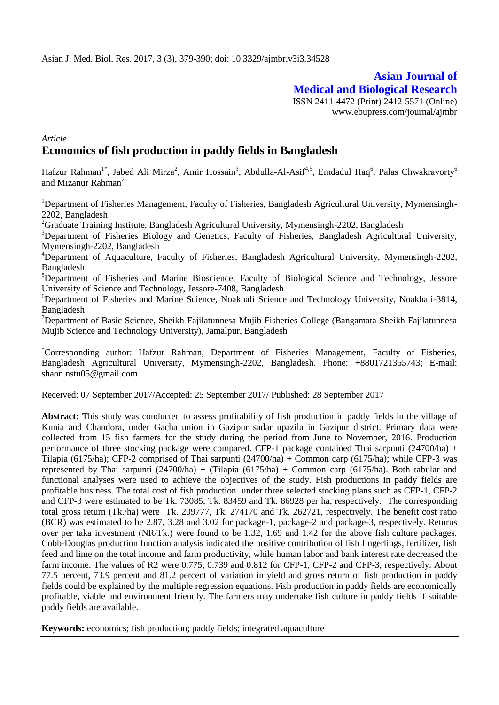# **Asian Journal of Medical and Biological Research**

ISSN 2411-4472 (Print) 2412-5571 (Online) www.ebupress.com/journal/ajmbr

# *Article* **Economics of fish production in paddy fields in Bangladesh**

Hafzur Rahman<sup>1\*</sup>, Jabed Ali Mirza<sup>2</sup>, Amir Hossain<sup>3</sup>, Abdulla-Al-Asif<sup>4,5</sup>, Emdadul Haq<sup>6</sup>, Palas Chwakravorty<sup>6</sup> and Mizanur Rahman<sup>7</sup>

<sup>1</sup>Department of Fisheries Management, Faculty of Fisheries, Bangladesh Agricultural University, Mymensingh-2202, Bangladesh

 ${}^{2}$ Graduate Training Institute, Bangladesh Agricultural University, Mymensingh-2202, Bangladesh

<sup>3</sup>Department of Fisheries Biology and Genetics, Faculty of Fisheries, Bangladesh Agricultural University, Mymensingh-2202, Bangladesh

<sup>4</sup>Department of Aquaculture, Faculty of Fisheries, Bangladesh Agricultural University, Mymensingh-2202, Bangladesh

<sup>5</sup>Department of Fisheries and Marine Bioscience, Faculty of Biological Science and Technology, Jessore University of Science and Technology, Jessore-7408, Bangladesh

<sup>6</sup>Department of Fisheries and Marine Science, Noakhali Science and Technology University, Noakhali-3814, Bangladesh

<sup>7</sup>Department of Basic Science, Sheikh Fajilatunnesa Mujib Fisheries College (Bangamata Sheikh Fajilatunnesa Mujib Science and Technology University), Jamalpur, Bangladesh

\*Corresponding author: Hafzur Rahman, Department of Fisheries Management, Faculty of Fisheries, Bangladesh Agricultural University, Mymensingh-2202, Bangladesh. Phone: +8801721355743; E-mail: shaon.nstu05@gmail.com

Received: 07 September 2017/Accepted: 25 September 2017/ Published: 28 September 2017

**Abstract:** This study was conducted to assess profitability of fish production in paddy fields in the village of Kunia and Chandora, under Gacha union in Gazipur sadar upazila in Gazipur district. Primary data were collected from 15 fish farmers for the study during the period from June to November, 2016. Production performance of three stocking package were compared. CFP-1 package contained Thai sarpunti (24700/ha) + Tilapia (6175/ha); CFP-2 comprised of Thai sarpunti (24700/ha) + Common carp (6175/ha); while CFP-3 was represented by Thai sarpunti  $(24700/ha) + (Tilapia (6175/ha) + Common carp (6175/ha)$ . Both tabular and functional analyses were used to achieve the objectives of the study. Fish productions in paddy fields are profitable business. The total cost of fish production under three selected stocking plans such as CFP-1, CFP-2 and CFP-3 were estimated to be Tk. 73085, Tk. 83459 and Tk. 86928 per ha, respectively. The corresponding total gross return (Tk./ha) were Tk. 209777, Tk. 274170 and Tk. 262721, respectively. The benefit cost ratio (BCR) was estimated to be 2.87, 3.28 and 3.02 for package-1, package-2 and package-3, respectively. Returns over per taka investment (NR/Tk.) were found to be 1.32, 1.69 and 1.42 for the above fish culture packages. Cobb-Douglas production function analysis indicated the positive contribution of fish fingerlings, fertilizer, fish feed and lime on the total income and farm productivity, while human labor and bank interest rate decreased the farm income. The values of R2 were 0.775, 0.739 and 0.812 for CFP-1, CFP-2 and CFP-3, respectively. About 77.5 percent, 73.9 percent and 81.2 percent of variation in yield and gross return of fish production in paddy fields could be explained by the multiple regression equations. Fish production in paddy fields are economically profitable, viable and environment friendly. The farmers may undertake fish culture in paddy fields if suitable paddy fields are available.

**Keywords:** economics; fish production; paddy fields; integrated aquaculture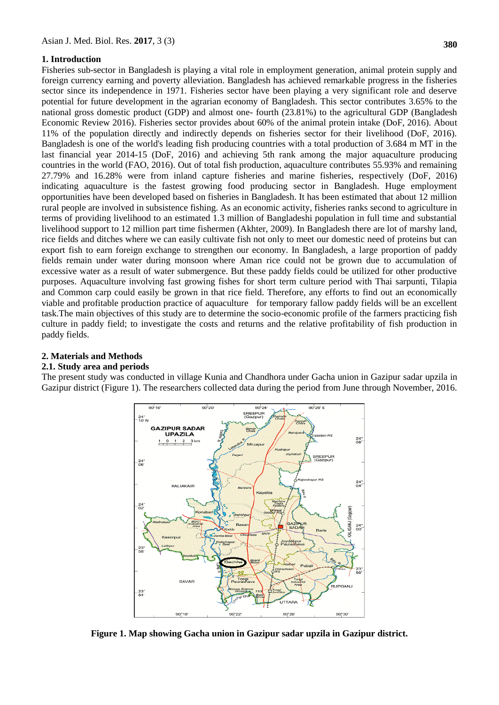#### **1. Introduction**

Fisheries sub-sector in Bangladesh is playing a vital role in employment generation, animal protein supply and foreign currency earning and poverty alleviation. Bangladesh has achieved remarkable progress in the fisheries sector since its independence in 1971. Fisheries sector have been playing a very significant role and deserve potential for future development in the agrarian economy of Bangladesh. This sector contributes 3.65% to the national gross domestic product (GDP) and almost one- fourth (23.81%) to the agricultural GDP (Bangladesh Economic Review 2016). Fisheries sector provides about 60% of the animal protein intake (DoF, 2016). About 11% of the population directly and indirectly depends on fisheries sector for their livelihood (DoF, 2016). Bangladesh is one of the world's leading fish producing countries with a total production of 3.684 m MT in the last financial year 2014-15 (DoF, 2016) and achieving 5th rank among the major aquaculture producing countries in the world (FAO, 2016). Out of total fish production, aquaculture contributes 55.93% and remaining 27.79% and 16.28% were from inland capture fisheries and marine fisheries, respectively (DoF, 2016) indicating aquaculture is the fastest growing food producing sector in Bangladesh. Huge employment opportunities have been developed based on fisheries in Bangladesh. It has been estimated that about 12 million rural people are involved in subsistence fishing. As an economic activity, fisheries ranks second to agriculture in terms of providing livelihood to an estimated 1.3 million of Bangladeshi population in full time and substantial livelihood support to 12 million part time fishermen (Akhter, 2009). In Bangladesh there are lot of marshy land, rice fields and ditches where we can easily cultivate fish not only to meet our domestic need of proteins but can export fish to earn foreign exchange to strengthen our economy. In Bangladesh, a large proportion of paddy fields remain under water during monsoon where Aman rice could not be grown due to accumulation of excessive water as a result of water submergence. But these paddy fields could be utilized for other productive

purposes. Aquaculture involving fast growing fishes for short term culture period with Thai sarpunti, Tilapia and Common carp could easily be grown in that rice field. Therefore, any efforts to find out an economically viable and profitable production practice of aquaculture for temporary fallow paddy fields will be an excellent task.The main objectives of this study are to determine the socio-economic profile of the farmers practicing fish culture in paddy field; to investigate the costs and returns and the relative profitability of fish production in paddy fields.

#### **2. Materials and Methods**

#### **2.1. Study area and periods**

The present study was conducted in village Kunia and Chandhora under Gacha union in Gazipur sadar upzila in Gazipur district (Figure 1). The researchers collected data during the period from June through November, 2016.



**Figure 1. Map showing Gacha union in Gazipur sadar upzila in Gazipur district.**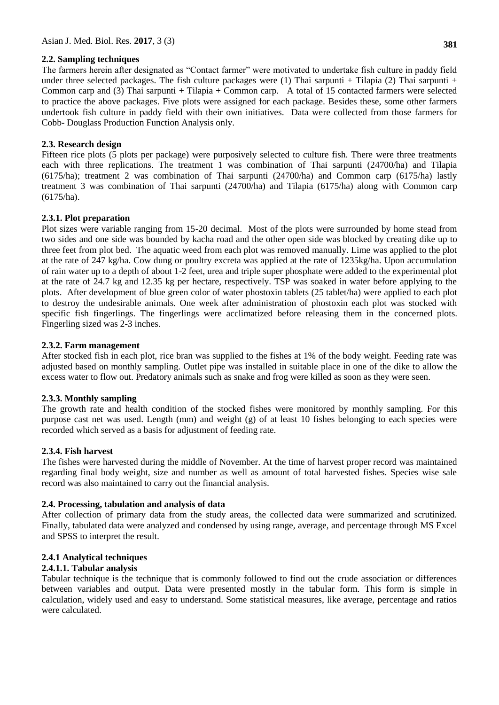#### **2.2. Sampling techniques**

The farmers herein after designated as "Contact farmer" were motivated to undertake fish culture in paddy field under three selected packages. The fish culture packages were  $(1)$  Thai sarpunti + Tilapia  $(2)$  Thai sarpunti + Common carp and (3) Thai sarpunti + Tilapia + Common carp. A total of 15 contacted farmers were selected to practice the above packages. Five plots were assigned for each package. Besides these, some other farmers undertook fish culture in paddy field with their own initiatives. Data were collected from those farmers for Cobb- Douglass Production Function Analysis only.

# **2.3. Research design**

Fifteen rice plots (5 plots per package) were purposively selected to culture fish. There were three treatments each with three replications. The treatment 1 was combination of Thai sarpunti (24700/ha) and Tilapia (6175/ha); treatment 2 was combination of Thai sarpunti (24700/ha) and Common carp (6175/ha) lastly treatment 3 was combination of Thai sarpunti (24700/ha) and Tilapia (6175/ha) along with Common carp (6175/ha).

# **2.3.1. Plot preparation**

Plot sizes were variable ranging from 15-20 decimal. Most of the plots were surrounded by home stead from two sides and one side was bounded by kacha road and the other open side was blocked by creating dike up to three feet from plot bed. The aquatic weed from each plot was removed manually. Lime was applied to the plot at the rate of 247 kg/ha. Cow dung or poultry excreta was applied at the rate of 1235kg/ha. Upon accumulation of rain water up to a depth of about 1-2 feet, urea and triple super phosphate were added to the experimental plot at the rate of 24.7 kg and 12.35 kg per hectare, respectively. TSP was soaked in water before applying to the plots. After development of blue green color of water phostoxin tablets (25 tablet/ha) were applied to each plot to destroy the undesirable animals. One week after administration of phostoxin each plot was stocked with specific fish fingerlings. The fingerlings were acclimatized before releasing them in the concerned plots. Fingerling sized was 2-3 inches.

#### **2.3.2. Farm management**

After stocked fish in each plot, rice bran was supplied to the fishes at 1% of the body weight. Feeding rate was adjusted based on monthly sampling. Outlet pipe was installed in suitable place in one of the dike to allow the excess water to flow out. Predatory animals such as snake and frog were killed as soon as they were seen.

#### **2.3.3. Monthly sampling**

The growth rate and health condition of the stocked fishes were monitored by monthly sampling. For this purpose cast net was used. Length (mm) and weight (g) of at least 10 fishes belonging to each species were recorded which served as a basis for adjustment of feeding rate.

#### **2.3.4. Fish harvest**

The fishes were harvested during the middle of November. At the time of harvest proper record was maintained regarding final body weight, size and number as well as amount of total harvested fishes. Species wise sale record was also maintained to carry out the financial analysis.

#### **2.4. Processing, tabulation and analysis of data**

After collection of primary data from the study areas, the collected data were summarized and scrutinized. Finally, tabulated data were analyzed and condensed by using range, average, and percentage through MS Excel and SPSS to interpret the result.

#### **2.4.1 Analytical techniques**

#### **2.4.1.1. Tabular analysis**

Tabular technique is the technique that is commonly followed to find out the crude association or differences between variables and output. Data were presented mostly in the tabular form. This form is simple in calculation, widely used and easy to understand. Some statistical measures, like average, percentage and ratios were calculated.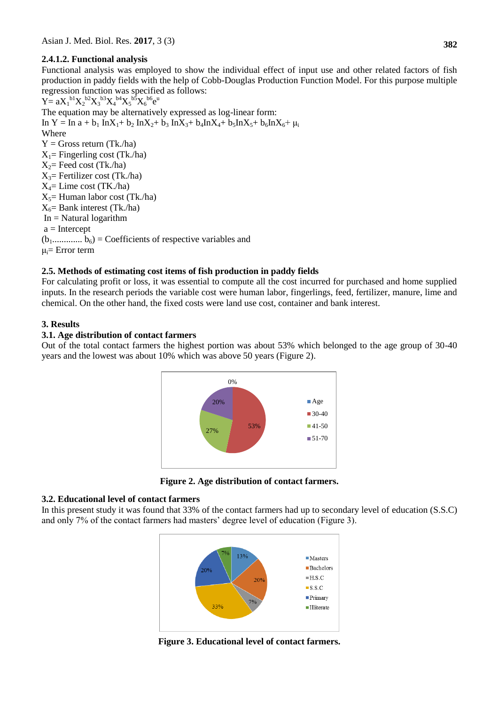# **2.4.1.2. Functional analysis**

Functional analysis was employed to show the individual effect of input use and other related factors of fish production in paddy fields with the help of Cobb-Douglas Production Function Model. For this purpose multiple regression function was specified as follows:

 $Y = aX_1^{b1}X_2^{b2}X_3^{b3}X_4^{b4}X_5^{b5}X_6^{b6}e^{u}$ The equation may be alternatively expressed as log-linear form: In Y = In a +  $b_1$  InX<sub>1</sub>+  $b_2$  InX<sub>2</sub>+  $b_3$  InX<sub>3</sub>+  $b_4$ InX<sub>4</sub>+  $b_5$ InX<sub>5</sub>+  $b_6$ InX<sub>6</sub>+  $\mu_i$ Where  $Y = Gross$  return (Tk./ha)  $X_1$ = Fingerling cost (Tk./ha)  $X_2$ = Feed cost (Tk./ha)  $X_3$ = Fertilizer cost (Tk./ha)  $X_4$ = Lime cost (TK./ha)  $X_5$ = Human labor cost (Tk./ha)  $X_6$ = Bank interest (Tk./ha)  $In = Natural logarithm$  $a =$ Intercept  $(b_1$ ..............  $b_6$ ) = Coefficients of respective variables and  $\mu_i =$  Error term

**2.5. Methods of estimating cost items of fish production in paddy fields** For calculating profit or loss, it was essential to compute all the cost incurred for purchased and home supplied inputs. In the research periods the variable cost were human labor, fingerlings, feed, fertilizer, manure, lime and chemical. On the other hand, the fixed costs were land use cost, container and bank interest.

# **3. Results**

# **3.1. Age distribution of contact farmers**

Out of the total contact farmers the highest portion was about 53% which belonged to the age group of 30-40 years and the lowest was about 10% which was above 50 years (Figure 2).



**Figure 2. Age distribution of contact farmers.**

#### **3.2. Educational level of contact farmers**

In this present study it was found that 33% of the contact farmers had up to secondary level of education (S.S.C) and only 7% of the contact farmers had masters' degree level of education (Figure 3).



**Figure 3. Educational level of contact farmers.**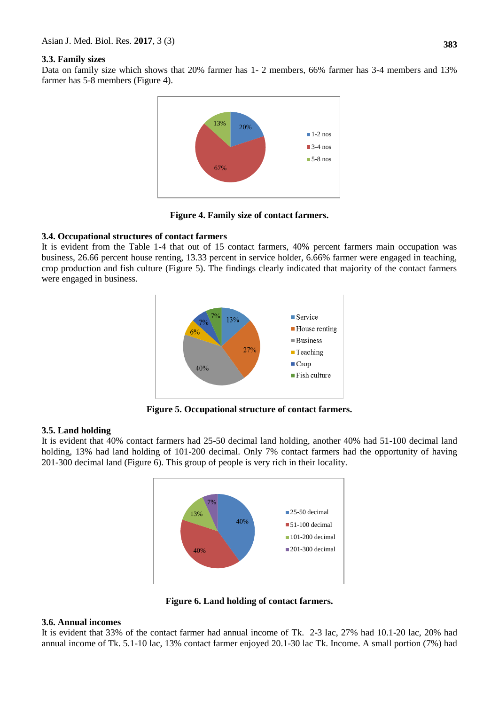#### **3.3. Family sizes**

Data on family size which shows that 20% farmer has 1- 2 members, 66% farmer has 3-4 members and 13% farmer has 5-8 members (Figure 4).



**Figure 4. Family size of contact farmers.**

#### **3.4. Occupational structures of contact farmers**

It is evident from the Table 1-4 that out of 15 contact farmers, 40% percent farmers main occupation was business, 26.66 percent house renting, 13.33 percent in service holder, 6.66% farmer were engaged in teaching, crop production and fish culture (Figure 5). The findings clearly indicated that majority of the contact farmers were engaged in business.



**Figure 5. Occupational structure of contact farmers.**

#### **3.5. Land holding**

It is evident that 40% contact farmers had 25-50 decimal land holding, another 40% had 51-100 decimal land holding, 13% had land holding of 101-200 decimal. Only 7% contact farmers had the opportunity of having 201-300 decimal land (Figure 6). This group of people is very rich in their locality.



**Figure 6. Land holding of contact farmers.**

#### **3.6. Annual incomes**

It is evident that 33% of the contact farmer had annual income of Tk. 2-3 lac, 27% had 10.1-20 lac, 20% had annual income of Tk. 5.1-10 lac, 13% contact farmer enjoyed 20.1-30 lac Tk. Income. A small portion (7%) had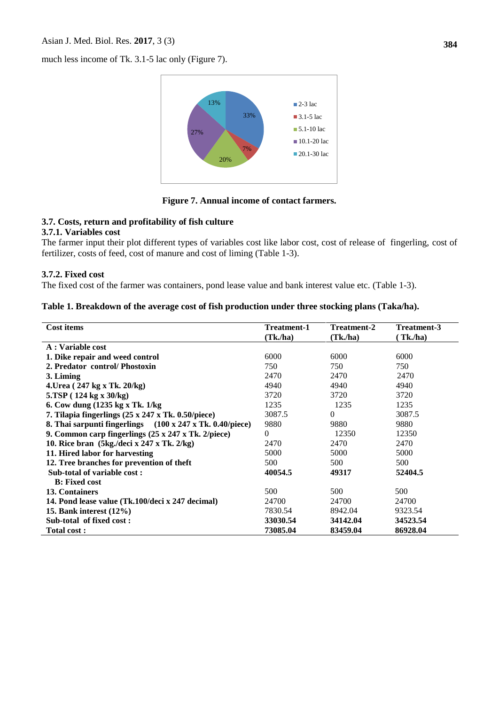#### Asian J. Med. Biol. Res. **2017**, 3 (3)

much less income of Tk. 3.1-5 lac only (Figure 7).



**Figure 7. Annual income of contact farmers.**

## **3.7. Costs, return and profitability of fish culture**

#### **3.7.1. Variables cost**

The farmer input their plot different types of variables cost like labor cost, cost of release of fingerling, cost of fertilizer, costs of feed, cost of manure and cost of liming (Table 1-3).

#### **3.7.2. Fixed cost**

The fixed cost of the farmer was containers, pond lease value and bank interest value etc. (Table 1-3).

#### **Table 1. Breakdown of the average cost of fish production under three stocking plans (Taka/ha).**

| Cost items                                                      | <b>Treatment-1</b> | Treatment-2 | <b>Treatment-3</b> |
|-----------------------------------------------------------------|--------------------|-------------|--------------------|
|                                                                 | (Tk, h)            | (Tk, h)     | $\int$ Tk./ha)     |
| A : Variable cost                                               |                    |             |                    |
| 1. Dike repair and weed control                                 | 6000               | 6000        | 6000               |
| 2. Predator control/Phostoxin                                   | 750                | 750         | 750                |
| 3. Liming                                                       | 2470               | 2470        | 2470               |
| 4. Urea (247 kg x Tk. 20/kg)                                    | 4940               | 4940        | 4940               |
| 5.TSP (124 kg x 30/kg)                                          | 3720               | 3720        | 3720               |
| 6. Cow dung (1235 kg x Tk. 1/kg)                                | 1235               | 1235        | 1235               |
| 7. Tilapia fingerlings $(25 \times 247 \times$ Tk. 0.50/piece)  | 3087.5             | $\Omega$    | 3087.5             |
| 8. Thai sarpunti fingerlings (100 x 247 x Tk. 0.40/piece)       | 9880               | 9880        | 9880               |
| 9. Common carp fingerlings $(25 \times 247 \times$ Tk. 2/piece) | 0                  | 12350       | 12350              |
| 10. Rice bran (5kg./deci x 247 x Tk. 2/kg)                      | 2470               | 2470        | 2470               |
| 11. Hired labor for harvesting                                  | 5000               | 5000        | 5000               |
| 12. Tree branches for prevention of theft                       | 500                | 500         | 500                |
| Sub-total of variable cost:                                     | 40054.5            | 49317       | 52404.5            |
| <b>B</b> : Fixed cost                                           |                    |             |                    |
| 13. Containers                                                  | 500                | 500         | 500                |
| 14. Pond lease value (Tk.100/deci x 247 decimal)                | 24700              | 24700       | 24700              |
| 15. Bank interest $(12\%)$                                      | 7830.54            | 8942.04     | 9323.54            |
| Sub-total of fixed cost:                                        | 33030.54           | 34142.04    | 34523.54           |
| <b>Total cost:</b>                                              | 73085.04           | 83459.04    | 86928.04           |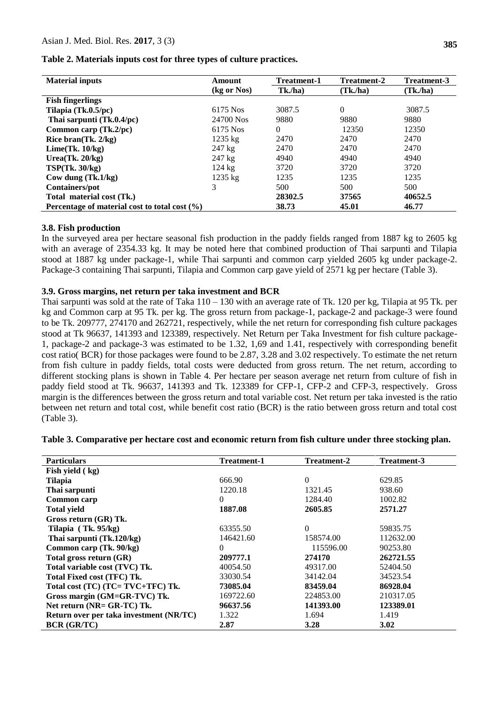| <b>Material inputs</b>                            | Amount            | <b>Treatment-1</b> | <b>Treatment-2</b> | Treatment-3 |
|---------------------------------------------------|-------------------|--------------------|--------------------|-------------|
|                                                   | (kg or Nos)       | Tk./ha)            | (Tk, h a)          | (Tk./ha)    |
| <b>Fish fingerlings</b>                           |                   |                    |                    |             |
| Tilapia (Tk.0.5/pc)                               | 6175 Nos          | 3087.5             | $\theta$           | 3087.5      |
| Thai sarpunti (Tk.0.4/pc)                         | 24700 Nos         | 9880               | 9880               | 9880        |
| Common carp $(Tk.2/pc)$                           | 6175 Nos          | 0                  | 12350              | 12350       |
| Rice bran(Tk. 2/kg)                               | $1235 \text{ kg}$ | 2470               | 2470               | 2470        |
| Lime(Tk. 10/kg)                                   | $247 \text{ kg}$  | 2470               | 2470               | 2470        |
| Urea $(Tk, 20/kg)$                                | $247 \text{ kg}$  | 4940               | 4940               | 4940        |
| TSP(Tk. 30/kg)                                    | $124 \text{ kg}$  | 3720               | 3720               | 3720        |
| Cow dung $(Tk.1/kg)$                              | $1235$ kg         | 1235               | 1235               | 1235        |
| Containers/pot                                    | 3                 | 500                | 500                | 500         |
| Total material cost (Tk.)                         |                   | 28302.5            | 37565              | 40652.5     |
| Percentage of material cost to total cost $(\% )$ |                   | 38.73              | 45.01              | 46.77       |

**Table 2. Materials inputs cost for three types of culture practices.**

#### **3.8. Fish production**

In the surveyed area per hectare seasonal fish production in the paddy fields ranged from 1887 kg to 2605 kg with an average of 2354.33 kg. It may be noted here that combined production of Thai sarpunti and Tilapia stood at 1887 kg under package-1, while Thai sarpunti and common carp yielded 2605 kg under package-2. Package-3 containing Thai sarpunti, Tilapia and Common carp gave yield of 2571 kg per hectare (Table 3).

#### **3.9. Gross margins, net return per taka investment and BCR**

Thai sarpunti was sold at the rate of Taka 110 – 130 with an average rate of Tk. 120 per kg, Tilapia at 95 Tk. per kg and Common carp at 95 Tk. per kg. The gross return from package-1, package-2 and package-3 were found to be Tk. 209777, 274170 and 262721, respectively, while the net return for corresponding fish culture packages stood at Tk 96637, 141393 and 123389, respectively. Net Return per Taka Investment for fish culture package-1, package-2 and package-3 was estimated to be 1.32, 1,69 and 1.41, respectively with corresponding benefit cost ratio( BCR) for those packages were found to be 2.87, 3.28 and 3.02 respectively. To estimate the net return from fish culture in paddy fields, total costs were deducted from gross return. The net return, according to different stocking plans is shown in Table 4. Per hectare per season average net return from culture of fish in paddy field stood at Tk. 96637, 141393 and Tk. 123389 for CFP-1, CFP-2 and CFP-3, respectively. Gross margin is the differences between the gross return and total variable cost. Net return per taka invested is the ratio between net return and total cost, while benefit cost ratio (BCR) is the ratio between gross return and total cost (Table 3).

| <b>Particulars</b>                      | <b>Treatment-1</b> | <b>Treatment-2</b> | Treatment-3 |
|-----------------------------------------|--------------------|--------------------|-------------|
| Fish yield (kg)                         |                    |                    |             |
| <b>Tilapia</b>                          | 666.90             | $\Omega$           | 629.85      |
| Thai sarpunti                           | 1220.18            | 1321.45            | 938.60      |
| Common carp                             | $\Omega$           | 1284.40            | 1002.82     |
| <b>Total yield</b>                      | 1887.08            | 2605.85            | 2571.27     |
| Gross return (GR) Tk.                   |                    |                    |             |
| Tilapia (Tk. 95/kg)                     | 63355.50           | $\Omega$           | 59835.75    |
| Thai sarpunti (Tk.120/kg)               | 146421.60          | 158574.00          | 112632.00   |
| Common carp (Tk. 90/kg)                 | $\Omega$           | 115596.00          | 90253.80    |
| Total gross return (GR)                 | 209777.1           | 274170             | 262721.55   |
| Total variable cost (TVC) Tk.           | 40054.50           | 49317.00           | 52404.50    |
| Total Fixed cost (TFC) Tk.              | 33030.54           | 34142.04           | 34523.54    |
| Total cost (TC) (TC= TVC+TFC) Tk.       | 73085.04           | 83459.04           | 86928.04    |
| Gross margin (GM=GR-TVC) Tk.            | 169722.60          | 224853.00          | 210317.05   |
| Net return (NR= GR-TC) Tk.              | 96637.56           | 141393.00          | 123389.01   |
| Return over per taka investment (NR/TC) | 1.322              | 1.694              | 1.419       |
| <b>BCR (GR/TC)</b>                      | 2.87               | 3.28               | 3.02        |

#### **Table 3. Comparative per hectare cost and economic return from fish culture under three stocking plan.**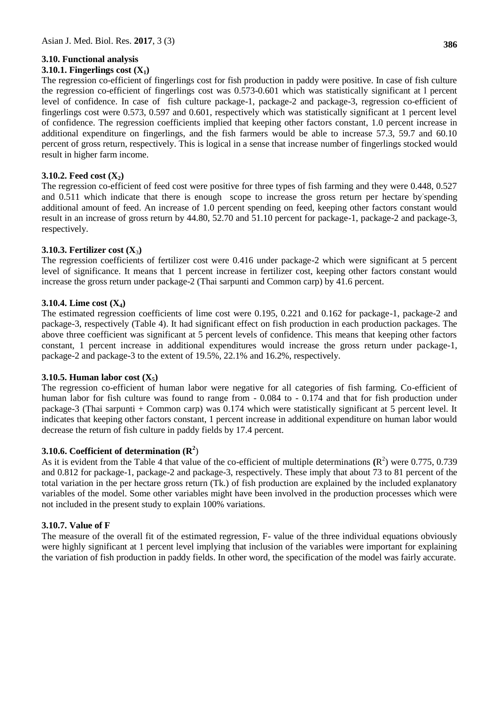# **3.10. Functional analysis**

# **3.10.1. Fingerlings cost (X1)**

**386**

The regression co-efficient of fingerlings cost for fish production in paddy were positive. In case of fish culture the regression co-efficient of fingerlings cost was 0.573-0.601 which was statistically significant at l percent level of confidence. In case of fish culture package-1, package-2 and package-3, regression co-efficient of fingerlings cost were 0.573, 0.597 and 0.601, respectively which was statistically significant at 1 percent level of confidence. The regression coefficients implied that keeping other factors constant, 1.0 percent increase in additional expenditure on fingerlings, and the fish farmers would be able to increase 57.3, 59.7 and 60.10 percent of gross return, respectively. This is logical in a sense that increase number of fingerlings stocked would result in higher farm income.

# **3.10.2. Feed cost (X2)**

The regression co-efficient of feed cost were positive for three types of fish farming and they were 0.448, 0.527 and 0.511 which indicate that there is enough scope to increase the gross return per hectare by spending additional amount of feed. An increase of 1.0 percent spending on feed, keeping other factors constant would result in an increase of gross return by 44.80, 52.70 and 51.10 percent for package-1, package-2 and package-3, respectively.

# **3.10.3. Fertilizer cost (X**3**)**

The regression coefficients of fertilizer cost were 0.416 under package-2 which were significant at 5 percent level of significance. It means that 1 percent increase in fertilizer cost, keeping other factors constant would increase the gross return under package-2 (Thai sarpunti and Common carp) by 41.6 percent.

# **3.10.4. Lime cost (X4)**

The estimated regression coefficients of lime cost were 0.195, 0.221 and 0.162 for package-1, package-2 and package-3, respectively (Table 4). It had significant effect on fish production in each production packages. The above three coefficient was significant at 5 percent levels of confidence. This means that keeping other factors constant, 1 percent increase in additional expenditures would increase the gross return under package-1, package-2 and package-3 to the extent of 19.5%, 22.1% and 16.2%, respectively.

# **3.10.5. Human labor cost (X5)**

The regression co-efficient of human labor were negative for all categories of fish farming. Co-efficient of human labor for fish culture was found to range from - 0.084 to - 0.174 and that for fish production under package-3 (Thai sarpunti + Common carp) was 0.174 which were statistically significant at 5 percent level. It indicates that keeping other factors constant, 1 percent increase in additional expenditure on human labor would decrease the return of fish culture in paddy fields by 17.4 percent.

# **3.10.6. Coefficient of determination (R<sup>2</sup>** )

As it is evident from the Table 4 that value of the co-efficient of multiple determinations  $(R^2)$  were 0.775, 0.739 and 0.812 for package-1, package-2 and package-3, respectively. These imply that about 73 to 81 percent of the total variation in the per hectare gross return (Tk.) of fish production are explained by the included explanatory variables of the model. Some other variables might have been involved in the production processes which were not included in the present study to explain 100% variations.

# **3.10.7. Value of F**

The measure of the overall fit of the estimated regression, F- value of the three individual equations obviously were highly significant at 1 percent level implying that inclusion of the variables were important for explaining the variation of fish production in paddy fields. In other word, the specification of the model was fairly accurate.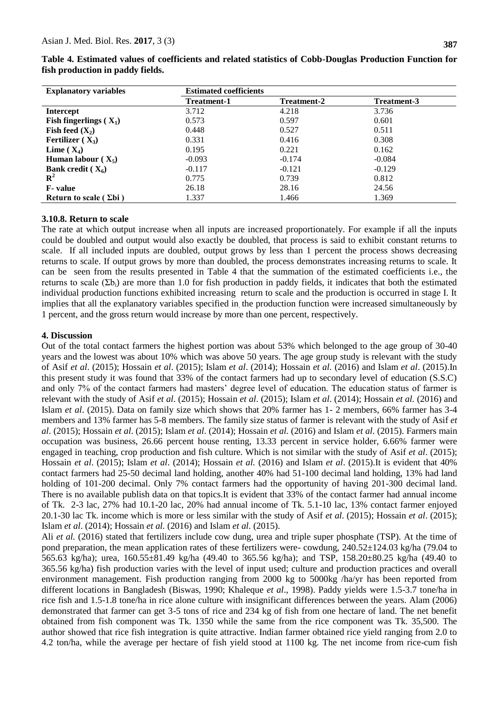| <b>Explanatory variables</b>    | <b>Estimated coefficients</b> |                    |             |  |
|---------------------------------|-------------------------------|--------------------|-------------|--|
|                                 | <b>Treatment-1</b>            | <b>Treatment-2</b> | Treatment-3 |  |
| Intercept                       | 3.712                         | 4.218              | 3.736       |  |
| Fish fingerlings $(X_1)$        | 0.573                         | 0.597              | 0.601       |  |
| Fish feed $(X_2)$               | 0.448                         | 0.527              | 0.511       |  |
| Fertilizer $(X_3)$              | 0.331                         | 0.416              | 0.308       |  |
| Lime $(X_4)$                    | 0.195                         | 0.221              | 0.162       |  |
| Human labour $(X_5)$            | $-0.093$                      | $-0.174$           | $-0.084$    |  |
| Bank credit $(X_6)$             | $-0.117$                      | $-0.121$           | $-0.129$    |  |
| ${\bf R}^2$                     | 0.775                         | 0.739              | 0.812       |  |
| <b>F</b> -value                 | 26.18                         | 28.16              | 24.56       |  |
| Return to scale ( $\Sigma bi$ ) | 1.337                         | 1.466              | 1.369       |  |

**Table 4. Estimated values of coefficients and related statistics of Cobb-Douglas Production Function for fish production in paddy fields.**

#### **3.10.8. Return to scale**

The rate at which output increase when all inputs are increased proportionately. For example if all the inputs could be doubled and output would also exactly be doubled, that process is said to exhibit constant returns to scale. If all included inputs are doubled, output grows by less than 1 percent the process shows decreasing returns to scale. If output grows by more than doubled, the process demonstrates increasing returns to scale. It can be seen from the results presented in Table 4 that the summation of the estimated coefficients i.e., the returns to scale  $(\Sigma b_i)$  are more than 1.0 for fish production in paddy fields, it indicates that both the estimated individual production functions exhibited increasing return to scale and the production is occurred in stage I. It implies that all the explanatory variables specified in. the production function were increased simultaneously by 1 percent, and the gross return would increase by more than one percent, respectively.

#### **4. Discussion**

Out of the total contact farmers the highest portion was about 53% which belonged to the age group of 30-40 years and the lowest was about 10% which was above 50 years. The age group study is relevant with the study of Asif *et al*. (2015); Hossain *et al*. (2015); Islam *et al*. (2014); Hossain *et al.* (2016) and Islam *et al*. (2015).In this present study it was found that 33% of the contact farmers had up to secondary level of education (S.S.C) and only 7% of the contact farmers had masters' degree level of education. The education status of farmer is relevant with the study of Asif *et al*. (2015); Hossain *et al*. (2015); Islam *et al*. (2014); Hossain *et al.* (2016) and Islam *et al*. (2015). Data on family size which shows that 20% farmer has 1- 2 members, 66% farmer has 3-4 members and 13% farmer has 5-8 members. The family size status of farmer is relevant with the study of Asif *et al*. (2015); Hossain *et al*. (2015); Islam *et al*. (2014); Hossain *et al.* (2016) and Islam *et al*. (2015). Farmers main occupation was business, 26.66 percent house renting, 13.33 percent in service holder, 6.66% farmer were engaged in teaching, crop production and fish culture. Which is not similar with the study of Asif *et al*. (2015); Hossain *et al*. (2015); Islam *et al*. (2014); Hossain *et al.* (2016) and Islam *et al*. (2015).It is evident that 40% contact farmers had 25-50 decimal land holding, another 40% had 51-100 decimal land holding, 13% had land holding of 101-200 decimal. Only 7% contact farmers had the opportunity of having 201-300 decimal land. There is no available publish data on that topics.It is evident that 33% of the contact farmer had annual income of Tk. 2-3 lac, 27% had 10.1-20 lac, 20% had annual income of Tk. 5.1-10 lac, 13% contact farmer enjoyed 20.1-30 lac Tk. income which is more or less similar with the study of Asif *et al*. (2015); Hossain *et al*. (2015); Islam *et al*. (2014); Hossain *et al.* (2016) and Islam *et al*. (2015).

Ali *et al.* (2016) stated that fertilizers include cow dung, urea and triple super phosphate (TSP). At the time of pond preparation, the mean application rates of these fertilizers were- cowdung, 240.52±124.03 kg/ha (79.04 to 565.63 kg/ha); urea, 160.55±81.49 kg/ha (49.40 to 365.56 kg/ha); and TSP, 158.20±80.25 kg/ha (49.40 to 365.56 kg/ha) fish production varies with the level of input used; culture and production practices and overall environment management. Fish production ranging from 2000 kg to 5000kg /ha/yr has been reported from different locations in Bangladesh (Biswas, 1990; Khaleque *et al*., 1998). Paddy yields were 1.5-3.7 tone/ha in rice fish and 1.5-1.8 tone/ha in rice alone culture with insignificant differences between the years. Alam (2006) demonstrated that farmer can get 3-5 tons of rice and 234 kg of fish from one hectare of land. The net benefit obtained from fish component was Tk. 1350 while the same from the rice component was Tk. 35,500. The author showed that rice fish integration is quite attractive. Indian farmer obtained rice yield ranging from 2.0 to 4.2 ton/ha, while the average per hectare of fish yield stood at 1100 kg. The net income from rice-cum fish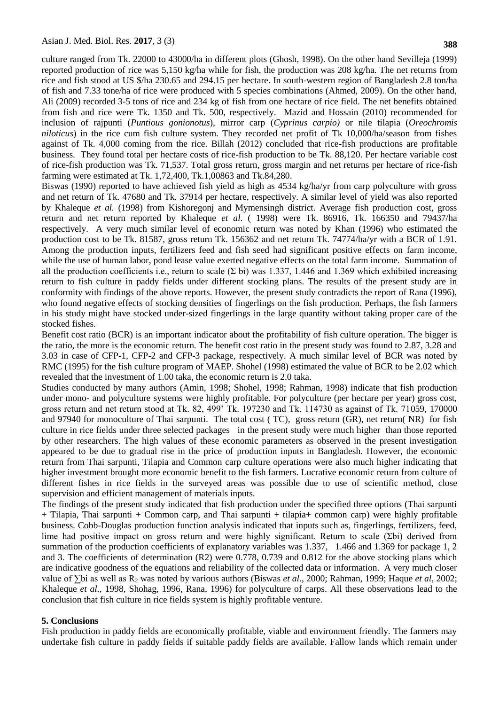**388**

culture ranged from Tk. 22000 to 43000/ha in different plots (Ghosh, 1998). On the other hand Sevilleja (1999) reported production of rice was 5,150 kg/ha while for fish, the production was 208 kg/ha. The net returns from rice and fish stood at US \$/ha 230.65 and 294.15 per hectare. In south-western region of Bangladesh 2.8 ton/ha of fish and 7.33 tone/ha of rice were produced with 5 species combinations (Ahmed, 2009). On the other hand, Ali (2009) recorded 3-5 tons of rice and 234 kg of fish from one hectare of rice field. The net benefits obtained from fish and rice were Tk. 1350 and Tk. 500, respectively. Mazid and Hossain (2010) recommended for inclusion of rajpunti (*Puntious gonionotus*), mirror carp (*Cyprinus carpio)* or nile tilapia (*Oreochromis niloticus*) in the rice cum fish culture system. They recorded net profit of Tk 10,000/ha/season from fishes against of Tk. 4,000 coming from the rice. Billah (2012) concluded that rice-fish productions are profitable business. They found total per hectare costs of rice-fish production to be Tk. 88,120. Per hectare variable cost of rice-fish production was Tk. 71,537. Total gross return, gross margin and net returns per hectare of rice-fish farming were estimated at Tk. 1,72,400, Tk.1,00863 and Tk.84,280.

Biswas (1990) reported to have achieved fish yield as high as 4534 kg/ha/yr from carp polyculture with gross and net return of Tk. 47680 and Tk. 37914 per hectare, respectively. A similar level of yield was also reported by Khaleque *et al.* (1998) from Kishoregonj and Mymensingh district. Average fish production cost, gross return and net return reported by Khaleque *et al.* ( 1998) were Tk. 86916, Tk. 166350 and 79437/ha respectively. A very much similar level of economic return was noted by Khan (1996) who estimated the production cost to be Tk. 81587, gross return Tk. 156362 and net return Tk. 74774/ha/yr with a BCR of 1.91. Among the production inputs, fertilizers feed and fish seed had significant positive effects on farm income, while the use of human labor, pond lease value exerted negative effects on the total farm income. Summation of all the production coefficients i.e., return to scale (Σ bi) was 1.337, 1.446 and 1.369 which exhibited increasing return to fish culture in paddy fields under different stocking plans. The results of the present study are in conformity with findings of the above reports. However, the present study contradicts the report of Rana (1996), who found negative effects of stocking densities of fingerlings on the fish production. Perhaps, the fish farmers in his study might have stocked under-sized fingerlings in the large quantity without taking proper care of the stocked fishes.

Benefit cost ratio (BCR) is an important indicator about the profitability of fish culture operation. The bigger is the ratio, the more is the economic return. The benefit cost ratio in the present study was found to 2.87, 3.28 and 3.03 in case of CFP-1, CFP-2 and CFP-3 package, respectively. A much similar level of BCR was noted by RMC (1995) for the fish culture program of MAEP. Shohel (1998) estimated the value of BCR to be 2.02 which revealed that the investment of 1.00 taka, the economic return is 2.0 taka.

Studies conducted by many authors (Amin, 1998; Shohel, 1998; Rahman, 1998) indicate that fish production under mono- and polyculture systems were highly profitable. For polyculture (per hectare per year) gross cost, gross return and net return stood at Tk. 82, 499' Tk. 197230 and Tk. 114730 as against of Tk. 71059, 170000 and 97940 for monoculture of Thai sarpunti. The total cost ( TC), gross return (GR), net return( NR) for fish culture in rice fields under three selected packages in the present study were much higher than those reported by other researchers. The high values of these economic parameters as observed in the present investigation appeared to be due to gradual rise in the price of production inputs in Bangladesh. However, the economic return from Thai sarpunti, Tilapia and Common carp culture operations were also much higher indicating that higher investment brought more economic benefit to the fish farmers. Lucrative economic return from culture of different fishes in rice fields in the surveyed areas was possible due to use of scientific method, close supervision and efficient management of materials inputs.

The findings of the present study indicated that fish production under the specified three options (Thai sarpunti + Tilapia, Thai sarpunti + Common carp, and Thai sarpunti + tilapia+ common carp) were highly profitable business. Cobb-Douglas production function analysis indicated that inputs such as, fingerlings, fertilizers, feed, lime had positive impact on gross return and were highly significant. Return to scale (Σbi) derived from summation of the production coefficients of explanatory variables was 1.337, 1.466 and 1.369 for package 1, 2 and 3. The coefficients of determination (R2) were 0.778, 0.739 and 0.812 for the above stocking plans which are indicative goodness of the equations and reliability of the collected data or information. A very much closer value of ∑bi as well as R<sup>2</sup> was noted by various authors (Biswas *et al*., 2000; Rahman, 1999; Haque *et al*, 2002; Khaleque *et al.,* 1998, Shohag, 1996, Rana, 1996) for polyculture of carps. All these observations lead to the conclusion that fish culture in rice fields system is highly profitable venture.

#### **5. Conclusions**

Fish production in paddy fields are economically profitable, viable and environment friendly. The farmers may undertake fish culture in paddy fields if suitable paddy fields are available. Fallow lands which remain under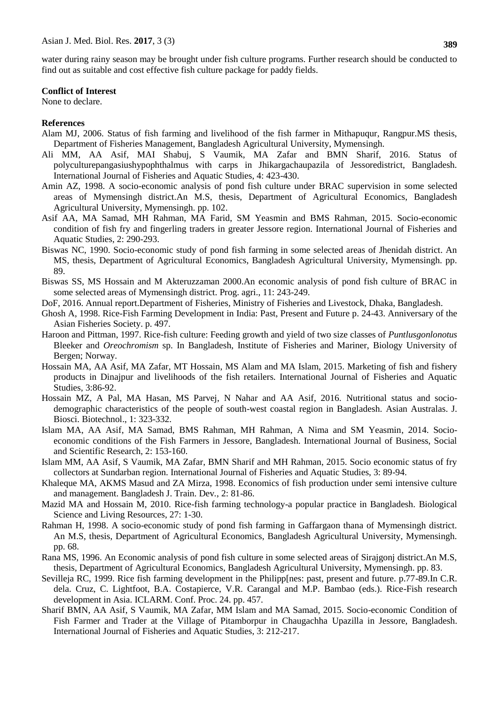water during rainy season may be brought under fish culture programs. Further research should be conducted to find out as suitable and cost effective fish culture package for paddy fields.

#### **Conflict of Interest**

None to declare.

#### **References**

- Alam MJ, 2006. Status of fish farming and livelihood of the fish farmer in Mithapuqur, Rangpur.MS thesis, Department of Fisheries Management, Bangladesh Agricultural University, Mymensingh.
- Ali MM, AA Asif, MAI Shabuj, S Vaumik, MA Zafar and BMN Sharif, 2016. Status of polyculturepangasiushypophthalmus with carps in Jhikargachaupazila of Jessoredistrict, Bangladesh. International Journal of Fisheries and Aquatic Studies, 4: 423-430.
- Amin AZ, 1998. A socio-economic analysis of pond fish culture under BRAC supervision in some selected areas of Mymensingh district.An M.S, thesis, Department of Agricultural Economics, Bangladesh Agricultural University, Mymensingh. pp. 102.
- Asif AA, MA Samad, MH Rahman, MA Farid, SM Yeasmin and BMS Rahman, 2015. Socio-economic condition of fish fry and fingerling traders in greater Jessore region. International Journal of Fisheries and Aquatic Studies, 2: 290-293.
- Biswas NC, 1990. Socio-economic study of pond fish farming in some selected areas of Jhenidah district. An MS, thesis, Department of Agricultural Economics, Bangladesh Agricultural University, Mymensingh. pp. 89.
- Biswas SS, MS Hossain and M Akteruzzaman 2000.An economic analysis of pond fish culture of BRAC in some selected areas of Mymensingh district. Prog. agri., 11: 243-249.
- DoF, 2016. Annual report.Department of Fisheries, Ministry of Fisheries and Livestock, Dhaka, Bangladesh.
- Ghosh A, 1998. Rice-Fish Farming Development in India: Past, Present and Future p. 24-43. Anniversary of the Asian Fisheries Society. p. 497.
- Haroon and Pittman, 1997. Rice-fish culture: Feeding growth and yield of two size classes of *Puntlusgonlonotus*  Bleeker and *Oreochromism* sp. In Bangladesh, Institute of Fisheries and Mariner, Biology University of Bergen; Norway.
- Hossain MA, AA Asif, MA Zafar, MT Hossain, MS Alam and MA Islam, 2015. Marketing of fish and fishery products in Dinajpur and livelihoods of the fish retailers. International Journal of Fisheries and Aquatic Studies, 3:86-92.
- Hossain MZ, A Pal, MA Hasan, MS Parvej, N Nahar and AA Asif, 2016. Nutritional status and sociodemographic characteristics of the people of south-west coastal region in Bangladesh. Asian Australas. J. Biosci. Biotechnol., 1: 323-332.
- Islam MA, AA Asif, MA Samad, BMS Rahman, MH Rahman, A Nima and SM Yeasmin, 2014. Socioeconomic conditions of the Fish Farmers in Jessore, Bangladesh. International Journal of Business, Social and Scientific Research, 2: 153-160.
- Islam MM, AA Asif, S Vaumik, MA Zafar, BMN Sharif and MH Rahman, 2015. Socio economic status of fry collectors at Sundarban region. International Journal of Fisheries and Aquatic Studies, 3: 89-94.
- Khaleque MA, AKMS Masud and ZA Mirza, 1998. Economics of fish production under semi intensive culture and management. Bangladesh J. Train. Dev*.*, 2: 81-86.
- Mazid MA and Hossain M, 2010. Rice-fish farming technology-a popular practice in Bangladesh. Biological Science and Living Resources, 27: 1-30.
- Rahman H, 1998. A socio-economic study of pond fish farming in Gaffargaon thana of Mymensingh district. An M.S, thesis, Department of Agricultural Economics, Bangladesh Agricultural University, Mymensingh. pp. 68.
- Rana MS, 1996. An Economic analysis of pond fish culture in some selected areas of Sirajgonj district.An M.S, thesis, Department of Agricultural Economics, Bangladesh Agricultural University, Mymensingh. pp. 83.
- Sevilleja RC, 1999. Rice fish farming development in the Philipp[nes: past, present and future. p.77-89.In C.R. dela. Cruz, C. Lightfoot, B.A. Costapierce, V.R. Carangal and M.P. Bambao (eds.). Rice-Fish research development in Asia. ICLARM. Conf. Proc. 24. pp. 457.
- Sharif BMN, AA Asif, S Vaumik, MA Zafar, MM Islam and MA Samad, 2015. Socio-economic Condition of Fish Farmer and Trader at the Village of Pitamborpur in Chaugachha Upazilla in Jessore, Bangladesh. International Journal of Fisheries and Aquatic Studies, 3: 212-217.